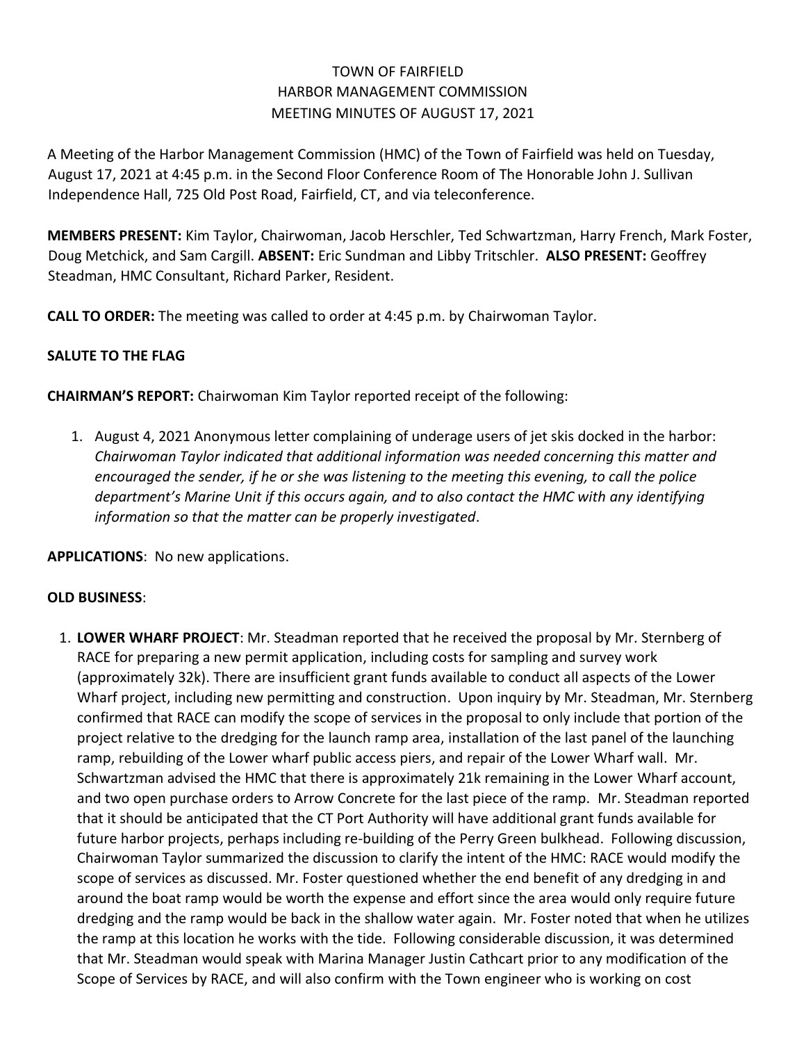## TOWN OF FAIRFIELD HARBOR MANAGEMENT COMMISSION MEETING MINUTES OF AUGUST 17, 2021

A Meeting of the Harbor Management Commission (HMC) of the Town of Fairfield was held on Tuesday, August 17, 2021 at 4:45 p.m. in the Second Floor Conference Room of The Honorable John J. Sullivan Independence Hall, 725 Old Post Road, Fairfield, CT, and via teleconference.

**MEMBERS PRESENT:** Kim Taylor, Chairwoman, Jacob Herschler, Ted Schwartzman, Harry French, Mark Foster, Doug Metchick, and Sam Cargill. **ABSENT:** Eric Sundman and Libby Tritschler. **ALSO PRESENT:** Geoffrey Steadman, HMC Consultant, Richard Parker, Resident.

**CALL TO ORDER:** The meeting was called to order at 4:45 p.m. by Chairwoman Taylor.

## **SALUTE TO THE FLAG**

**CHAIRMAN'S REPORT:** Chairwoman Kim Taylor reported receipt of the following:

1. August 4, 2021 Anonymous letter complaining of underage users of jet skis docked in the harbor: *Chairwoman Taylor indicated that additional information was needed concerning this matter and encouraged the sender, if he or she was listening to the meeting this evening, to call the police department's Marine Unit if this occurs again, and to also contact the HMC with any identifying information so that the matter can be properly investigated*.

**APPLICATIONS**: No new applications.

## **OLD BUSINESS**:

1. **LOWER WHARF PROJECT**: Mr. Steadman reported that he received the proposal by Mr. Sternberg of RACE for preparing a new permit application, including costs for sampling and survey work (approximately 32k). There are insufficient grant funds available to conduct all aspects of the Lower Wharf project, including new permitting and construction. Upon inquiry by Mr. Steadman, Mr. Sternberg confirmed that RACE can modify the scope of services in the proposal to only include that portion of the project relative to the dredging for the launch ramp area, installation of the last panel of the launching ramp, rebuilding of the Lower wharf public access piers, and repair of the Lower Wharf wall. Mr. Schwartzman advised the HMC that there is approximately 21k remaining in the Lower Wharf account, and two open purchase orders to Arrow Concrete for the last piece of the ramp. Mr. Steadman reported that it should be anticipated that the CT Port Authority will have additional grant funds available for future harbor projects, perhaps including re-building of the Perry Green bulkhead. Following discussion, Chairwoman Taylor summarized the discussion to clarify the intent of the HMC: RACE would modify the scope of services as discussed. Mr. Foster questioned whether the end benefit of any dredging in and around the boat ramp would be worth the expense and effort since the area would only require future dredging and the ramp would be back in the shallow water again. Mr. Foster noted that when he utilizes the ramp at this location he works with the tide. Following considerable discussion, it was determined that Mr. Steadman would speak with Marina Manager Justin Cathcart prior to any modification of the Scope of Services by RACE, and will also confirm with the Town engineer who is working on cost